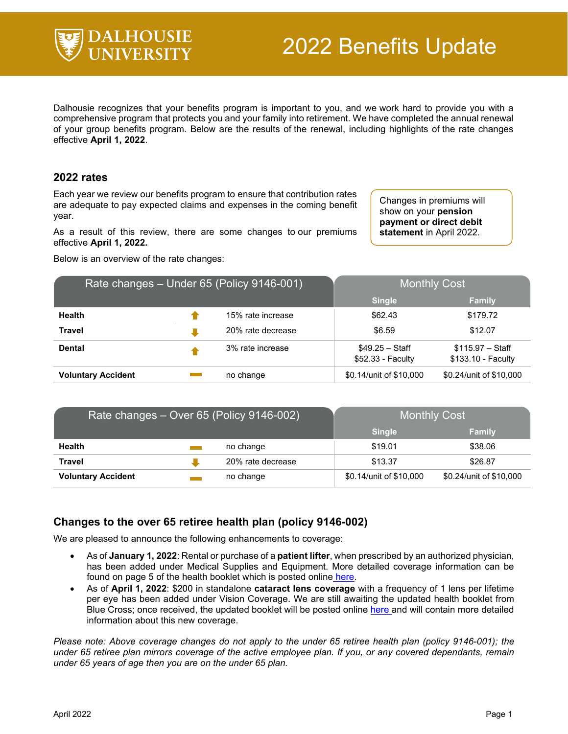

Dalhousie recognizes that your benefits program is important to you, and we work hard to provide you with a comprehensive program that protects you and your family into retirement. We have completed the annual renewal of your group benefits program. Below are the results of the renewal, including highlights of the rate changes effective **April 1, 2022**.

## **2022 rates**

Each year we review our benefits program to ensure that contribution rates are adequate to pay expected claims and expenses in the coming benefit year.

As a result of this review, there are some changes to our premiums effective **April 1, 2022.**

Below is an overview of the rate changes:

Changes in premiums will show on your **pension payment or direct debit statement** in April 2022.

| Rate changes - Under 65 (Policy 9146-001) |  |                   | <b>Monthly Cost</b>                   |                                         |
|-------------------------------------------|--|-------------------|---------------------------------------|-----------------------------------------|
|                                           |  |                   | <b>Single</b>                         | <b>Family</b>                           |
| <b>Health</b>                             |  | 15% rate increase | \$62.43                               | \$179.72                                |
| <b>Travel</b>                             |  | 20% rate decrease | \$6.59                                | \$12.07                                 |
| <b>Dental</b>                             |  | 3% rate increase  | $$49.25 - Staff$<br>\$52.33 - Faculty | $$115.97 - Staff$<br>\$133.10 - Faculty |
| <b>Voluntary Accident</b>                 |  | no change         | \$0.14/unit of \$10,000               | \$0.24/unit of \$10,000                 |

| Rate changes – Over 65 (Policy 9146-002) |  |                   | <b>Monthly Cost</b>     |                         |
|------------------------------------------|--|-------------------|-------------------------|-------------------------|
|                                          |  |                   | <b>Single</b>           | <b>Family</b>           |
| <b>Health</b>                            |  | no change         | \$19.01                 | \$38.06                 |
| <b>Travel</b>                            |  | 20% rate decrease | \$13.37                 | \$26.87                 |
| <b>Voluntary Accident</b>                |  | no change         | \$0.14/unit of \$10,000 | \$0.24/unit of \$10,000 |

## **Changes to the over 65 retiree health plan (policy 9146-002)**

We are pleased to announce the following enhancements to coverage:

- As of **January 1, 2022**: Rental or purchase of a **patient lifter**, when prescribed by an authorized physician, has been added under Medical Supplies and Equipment. More detailed coverage information can be found on page 5 of the health booklet which is posted online [here.](https://cdn.dal.ca/content/dam/dalhousie/pdf/dept/hr/new-employees/Retiree-Over65-Booklet.pdf)
- As of **April 1, 2022**: \$200 in standalone **cataract lens coverage** with a frequency of 1 lens per lifetime per eye has been added under Vision Coverage. We are still awaiting the updated health booklet from Blue Cross; once received, the updated booklet will be posted online [here a](https://www.dal.ca/dept/hr/Total-Compensation/Benefits/Retirees.html)nd will contain more detailed information about this new coverage.

*Please note: Above coverage changes do not apply to the under 65 retiree health plan (policy 9146-001); the under 65 retiree plan mirrors coverage of the active employee plan. If you, or any covered dependants, remain under 65 years of age then you are on the under 65 plan.*